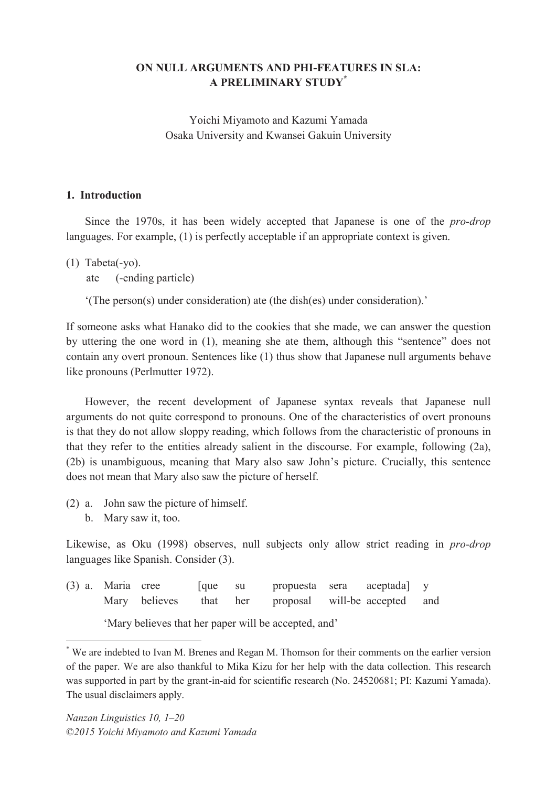# **ON NULL ARGUMENTS AND PHI-FEATURES IN SLA: A PRELIMINARY STUDY\***

Yoichi Miyamoto and Kazumi Yamada Osaka University and Kwansei Gakuin University

### **1. Introduction**

Since the 1970s, it has been widely accepted that Japanese is one of the *pro-drop* languages. For example, (1) is perfectly acceptable if an appropriate context is given.

(1) Tabeta(-yo).

ate (-ending particle)

 $'(The person(s) under consideration)$  ate (the dish(es) under consideration)."

If someone asks what Hanako did to the cookies that she made, we can answer the question by uttering the one word in  $(1)$ , meaning she ate them, although this "sentence" does not contain any overt pronoun. Sentences like (1) thus show that Japanese null arguments behave like pronouns (Perlmutter 1972).

However, the recent development of Japanese syntax reveals that Japanese null arguments do not quite correspond to pronouns. One of the characteristics of overt pronouns is that they do not allow sloppy reading, which follows from the characteristic of pronouns in that they refer to the entities already salient in the discourse. For example, following (2a), (2b) is unambiguous, meaning that Mary also saw John's picture. Crucially, this sentence does not mean that Mary also saw the picture of herself.

- (2) a. John saw the picture of himself.
	- b. Mary saw it, too.

 $\overline{a}$ 

Likewise, as Oku (1998) observes, null subjects only allow strict reading in *pro-drop* languages like Spanish. Consider (3).

(3) a. Maria cree [que su propuesta sera aceptada] y Mary believes that her proposal will-be accepted and

'Mary believes that her paper will be accepted, and'

<sup>\*</sup> We are indebted to Ivan M. Brenes and Regan M. Thomson for their comments on the earlier version of the paper. We are also thankful to Mika Kizu for her help with the data collection. This research was supported in part by the grant-in-aid for scientific research (No. 24520681; PI: Kazumi Yamada). The usual disclaimers apply.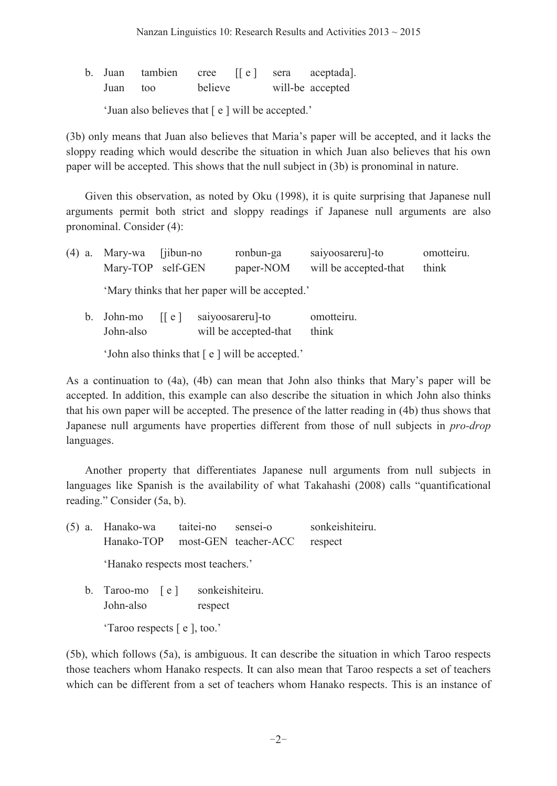b. Juan tambien cree [[e] sera aceptada]. Juan too believe will-be accepted

'Juan also believes that  $[ e ]$  will be accepted.'

(3b) only means that Juan also believes that Maria's paper will be accepted, and it lacks the sloppy reading which would describe the situation in which Juan also believes that his own paper will be accepted. This shows that the null subject in (3b) is pronominal in nature.

Given this observation, as noted by Oku (1998), it is quite surprising that Japanese null arguments permit both strict and sloppy readings if Japanese null arguments are also pronominal. Consider (4):

| $(4)$ a. Mary-wa [iibun-no]<br>Mary-TOP self-GEN | ronbun-ga<br>paper-NOM                         | saiyoosareru]-to<br>will be accepted-that | omotteiru.<br>think |
|--------------------------------------------------|------------------------------------------------|-------------------------------------------|---------------------|
|                                                  | 'Mary thinks that her paper will be accepted.' |                                           |                     |

|  |           | b. John-mo $\lceil e \rceil$ saiyoosareru]-to | omotteiru. |
|--|-----------|-----------------------------------------------|------------|
|  | John-also | will be accepted-that                         | think      |
|  |           |                                               |            |

 $\Delta$  John also thinks that  $\lceil e \rceil$  will be accepted.

As a continuation to  $(4a)$ ,  $(4b)$  can mean that John also thinks that Mary's paper will be accepted. In addition, this example can also describe the situation in which John also thinks that his own paper will be accepted. The presence of the latter reading in (4b) thus shows that Japanese null arguments have properties different from those of null subjects in *pro-drop* languages.

 Another property that differentiates Japanese null arguments from null subjects in languages like Spanish is the availability of what Takahashi  $(2008)$  calls "quantificational reading." Consider (5a, b).

| $(5)$ a. Hanako-wa               | taitei-no                  | sensei-o             | sonkeishiteiru. |
|----------------------------------|----------------------------|----------------------|-----------------|
| Hanako-TOP                       |                            | most-GEN teacher-ACC | respect         |
| 'Hanako respects most teachers.' |                            |                      |                 |
| b. Taroo-mo [e]<br>John-also     | sonkeishiteiru.<br>respect |                      |                 |
| 'Taroo respects $[e]$ , too.'    |                            |                      |                 |

(5b), which follows (5a), is ambiguous. It can describe the situation in which Taroo respects those teachers whom Hanako respects. It can also mean that Taroo respects a set of teachers which can be different from a set of teachers whom Hanako respects. This is an instance of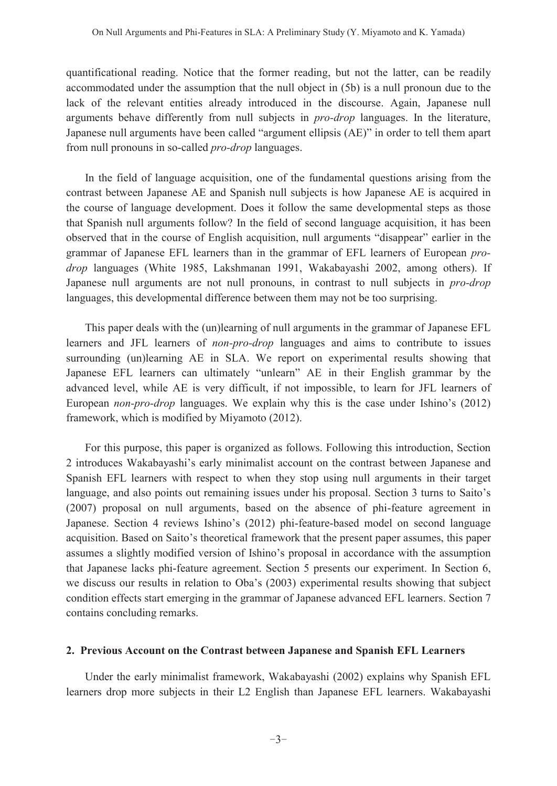quantificational reading. Notice that the former reading, but not the latter, can be readily accommodated under the assumption that the null object in (5b) is a null pronoun due to the lack of the relevant entities already introduced in the discourse. Again, Japanese null arguments behave differently from null subjects in *pro-drop* languages. In the literature, Japanese null arguments have been called "argument ellipsis (AE)" in order to tell them apart from null pronouns in so-called *pro-drop* languages.

In the field of language acquisition, one of the fundamental questions arising from the contrast between Japanese AE and Spanish null subjects is how Japanese AE is acquired in the course of language development. Does it follow the same developmental steps as those that Spanish null arguments follow? In the field of second language acquisition, it has been observed that in the course of English acquisition, null arguments "disappear" earlier in the grammar of Japanese EFL learners than in the grammar of EFL learners of European *prodrop* languages (White 1985, Lakshmanan 1991, Wakabayashi 2002, among others). If Japanese null arguments are not null pronouns, in contrast to null subjects in *pro-drop* languages, this developmental difference between them may not be too surprising.

This paper deals with the (un)learning of null arguments in the grammar of Japanese EFL learners and JFL learners of *non-pro-drop* languages and aims to contribute to issues surrounding (un)learning AE in SLA. We report on experimental results showing that Japanese EFL learners can ultimately "unlearn" AE in their English grammar by the advanced level, while AE is very difficult, if not impossible, to learn for JFL learners of European *non-pro-drop* languages. We explain why this is the case under Ishino's (2012) framework, which is modified by Miyamoto (2012).

For this purpose, this paper is organized as follows. Following this introduction, Section 2 introduces Wakabayashi's early minimalist account on the contrast between Japanese and Spanish EFL learners with respect to when they stop using null arguments in their target language, and also points out remaining issues under his proposal. Section 3 turns to Saito's (2007) proposal on null arguments, based on the absence of phi-feature agreement in Japanese. Section 4 reviews Ishino's (2012) phi-feature-based model on second language acquisition. Based on Saito's theoretical framework that the present paper assumes, this paper assumes a slightly modified version of Ishino's proposal in accordance with the assumption that Japanese lacks phi-feature agreement. Section 5 presents our experiment. In Section 6, we discuss our results in relation to Oba's  $(2003)$  experimental results showing that subject condition effects start emerging in the grammar of Japanese advanced EFL learners. Section 7 contains concluding remarks.

### **2. Previous Account on the Contrast between Japanese and Spanish EFL Learners**

 Under the early minimalist framework, Wakabayashi (2002) explains why Spanish EFL learners drop more subjects in their L2 English than Japanese EFL learners. Wakabayashi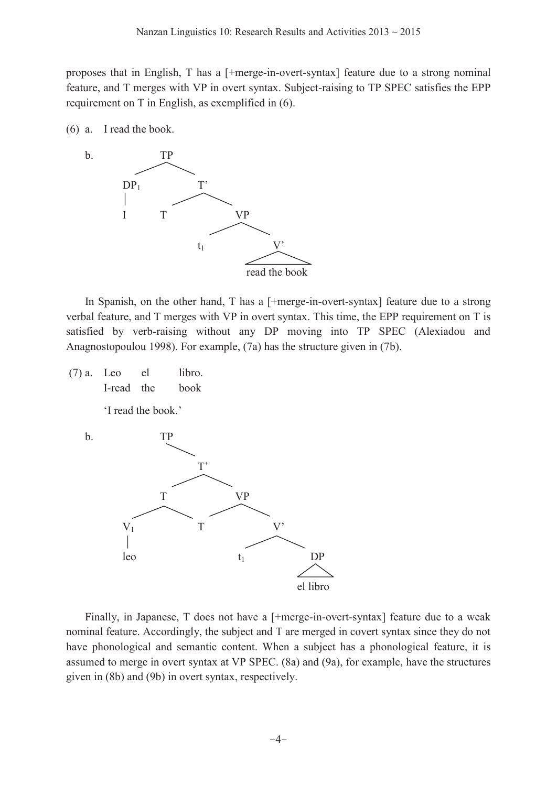proposes that in English, T has a [+merge-in-overt-syntax] feature due to a strong nominal feature, and T merges with VP in overt syntax. Subject-raising to TP SPEC satisfies the EPP requirement on T in English, as exemplified in (6).

(6) a. I read the book.



In Spanish, on the other hand, T has a [+merge-in-overt-syntax] feature due to a strong verbal feature, and T merges with VP in overt syntax. This time, the EPP requirement on T is satisfied by verb-raising without any DP moving into TP SPEC (Alexiadou and Anagnostopoulou 1998). For example, (7a) has the structure given in (7b).

 $(7)$  a. Leo el libro. I-read the book

'I read the book.'



Finally, in Japanese, T does not have a [+merge-in-overt-syntax] feature due to a weak nominal feature. Accordingly, the subject and T are merged in covert syntax since they do not have phonological and semantic content. When a subject has a phonological feature, it is assumed to merge in overt syntax at VP SPEC. (8a) and (9a), for example, have the structures given in (8b) and (9b) in overt syntax, respectively.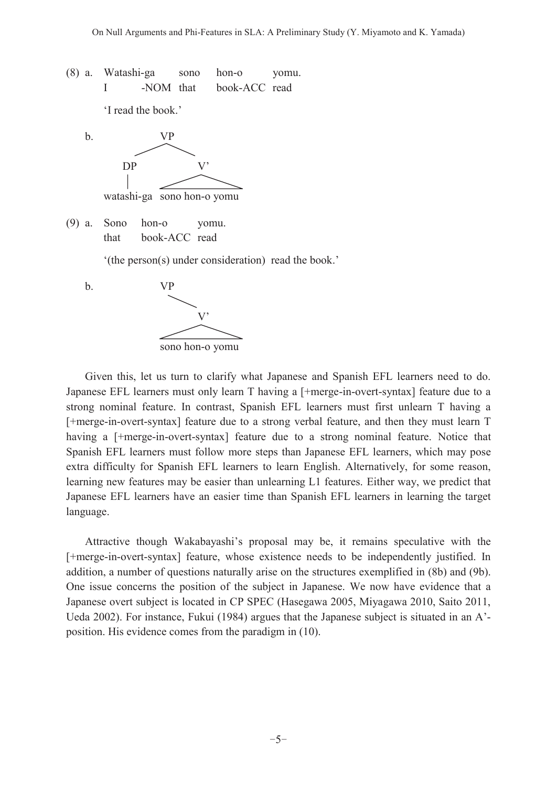(8) a. Watashi-ga sono hon-o yomu. I -NOM that book-ACC read

'I read the book.'



(9) a. Sono hon-o yomu. that book-ACC read

 $'(the person(s) under consideration) read the book.'$ 



 Given this, let us turn to clarify what Japanese and Spanish EFL learners need to do. Japanese EFL learners must only learn T having a [+merge-in-overt-syntax] feature due to a strong nominal feature. In contrast, Spanish EFL learners must first unlearn T having a [+merge-in-overt-syntax] feature due to a strong verbal feature, and then they must learn T having a [+merge-in-overt-syntax] feature due to a strong nominal feature. Notice that Spanish EFL learners must follow more steps than Japanese EFL learners, which may pose extra difficulty for Spanish EFL learners to learn English. Alternatively, for some reason, learning new features may be easier than unlearning L1 features. Either way, we predict that Japanese EFL learners have an easier time than Spanish EFL learners in learning the target language.

Attractive though Wakabayashi's proposal may be, it remains speculative with the [+merge-in-overt-syntax] feature, whose existence needs to be independently justified. In addition, a number of questions naturally arise on the structures exemplified in (8b) and (9b). One issue concerns the position of the subject in Japanese. We now have evidence that a Japanese overt subject is located in CP SPEC (Hasegawa 2005, Miyagawa 2010, Saito 2011, Ueda 2002). For instance, Fukui (1984) argues that the Japanese subject is situated in an  $A^2$ position. His evidence comes from the paradigm in (10).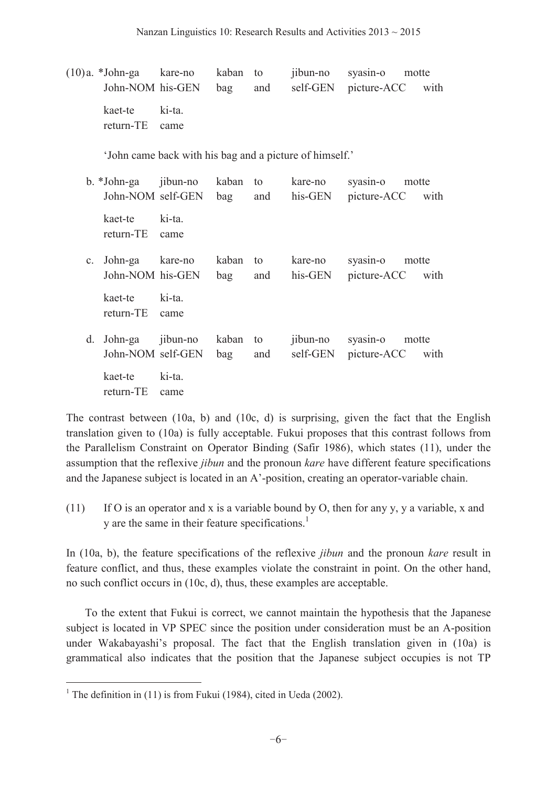| $(10)a. *John-ga$ kare-no kaban to              | John-NOM his-GEN bag and                                |              |           |          | jibun-no syasin-o motte<br>self-GEN picture-ACC with |  |
|-------------------------------------------------|---------------------------------------------------------|--------------|-----------|----------|------------------------------------------------------|--|
| kaet-te ki-ta.<br>return-TE                     | came                                                    |              |           |          |                                                      |  |
|                                                 | 'John came back with his bag and a picture of himself.' |              |           |          |                                                      |  |
| b. *John-ga jibun-no kaban to                   | John-NOM self-GEN bag                                   |              | and       | kare-no  | syasin-o motte<br>his-GEN picture-ACC with           |  |
| kaet-te ki-ta.<br>return-TE                     | came                                                    |              |           |          |                                                      |  |
| c. John-ga kare-no kaban to<br>John-NOM his-GEN |                                                         | bag          | and       | kare-no  | syasin-o motte<br>his-GEN picture-ACC with           |  |
| kaet-te ki-ta.<br>return-TE                     | came                                                    |              |           |          |                                                      |  |
| d. John-ga jibun-no                             | John-NOM self-GEN                                       | kaban<br>bag | to<br>and | jibun-no | syasin-o motte<br>self-GEN picture-ACC<br>with       |  |
| kaet-te ki-ta.                                  |                                                         |              |           |          |                                                      |  |

return-TE came

 $\overline{a}$ 

The contrast between (10a, b) and (10c, d) is surprising, given the fact that the English translation given to (10a) is fully acceptable. Fukui proposes that this contrast follows from the Parallelism Constraint on Operator Binding (Safir 1986), which states (11), under the assumption that the reflexive *jibun* and the pronoun *kare* have different feature specifications and the Japanese subject is located in an A'-position, creating an operator-variable chain.

(11) If O is an operator and x is a variable bound by O, then for any y, y a variable, x and y are the same in their feature specifications.<sup>1</sup>

In (10a, b), the feature specifications of the reflexive *jibun* and the pronoun *kare* result in feature conflict, and thus, these examples violate the constraint in point. On the other hand, no such conflict occurs in (10c, d), thus, these examples are acceptable.

 To the extent that Fukui is correct, we cannot maintain the hypothesis that the Japanese subject is located in VP SPEC since the position under consideration must be an A-position under Wakabayashi's proposal. The fact that the English translation given in  $(10a)$  is grammatical also indicates that the position that the Japanese subject occupies is not TP

<sup>&</sup>lt;sup>1</sup> The definition in (11) is from Fukui (1984), cited in Ueda (2002).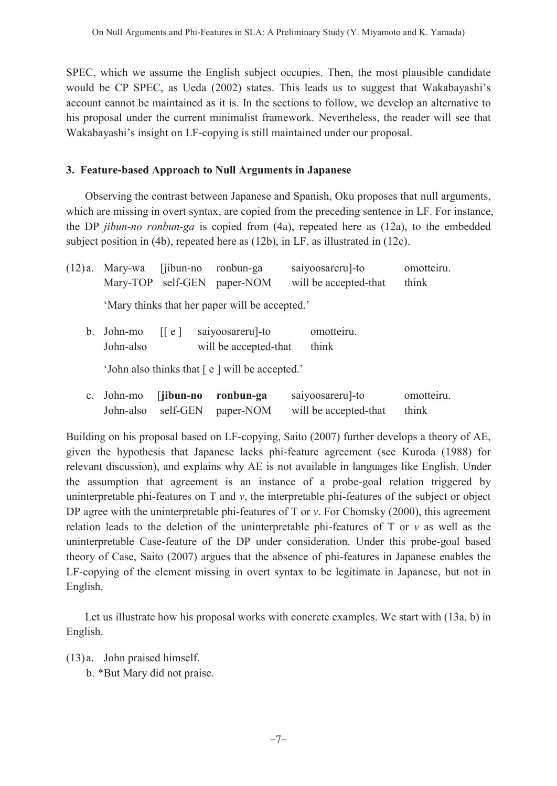SPEC, which we assume the English subject occupies. Then, the most plausible candidate would be CP SPEC, as Ueda (2002) states. This leads us to suggest that Wakabayashi's account cannot be maintained as it is. In the sections to follow, we develop an alternative to his proposal under the current minimalist framework. Nevertheless, the reader will see that Wakabayashi's insight on LF-copying is still maintained under our proposal.

# **3. Feature-based Approach to Null Arguments in Japanese**

Observing the contrast between Japanese and Spanish, Oku proposes that null arguments, which are missing in overt syntax, are copied from the preceding sentence in LF. For instance, the DP *jibun-no ronbun-ga* is copied from (4a), repeated here as (12a), to the embedded subject position in (4b), repeated here as (12b), in LF, as illustrated in (12c).

| (12)a.      | Mary-wa              | $\int$ jibun-no<br>Mary-TOP self-GEN | ronbun-ga<br>paper-NOM                         | saiyoosareru]-to<br>will be accepted-that | omotteiru.<br>think |
|-------------|----------------------|--------------------------------------|------------------------------------------------|-------------------------------------------|---------------------|
|             |                      |                                      | 'Mary thinks that her paper will be accepted.' |                                           |                     |
| b.          | John-mo<br>John-also | $\vert \vert e \vert$                | saiyoosareru]-to<br>will be accepted-that      | omotteiru.<br>think                       |                     |
|             |                      |                                      | 'John also thinks that [e] will be accepted.'  |                                           |                     |
| $c_{\cdot}$ | John-mo<br>John-also | [jibun-no]<br>self-GEN               | ronbun-ga<br>paper-NOM                         | saiyoosareru]-to<br>will be accepted-that | omotteiru.<br>think |

Building on his proposal based on LF-copying, Saito (2007) further develops a theory of AE, given the hypothesis that Japanese lacks phi-feature agreement (see Kuroda (1988) for relevant discussion), and explains why AE is not available in languages like English. Under the assumption that agreement is an instance of a probe-goal relation triggered by uninterpretable phi-features on T and *v*, the interpretable phi-features of the subject or object DP agree with the uninterpretable phi-features of T or *v*. For Chomsky (2000), this agreement relation leads to the deletion of the uninterpretable phi-features of  $T$  or  $\nu$  as well as the uninterpretable Case-feature of the DP under consideration. Under this probe-goal based theory of Case, Saito (2007) argues that the absence of phi-features in Japanese enables the LF-copying of the element missing in overt syntax to be legitimate in Japanese, but not in English.

 Let us illustrate how his proposal works with concrete examples. We start with (13a, b) in English.

(13) a. John praised himself.

b. \*But Mary did not praise.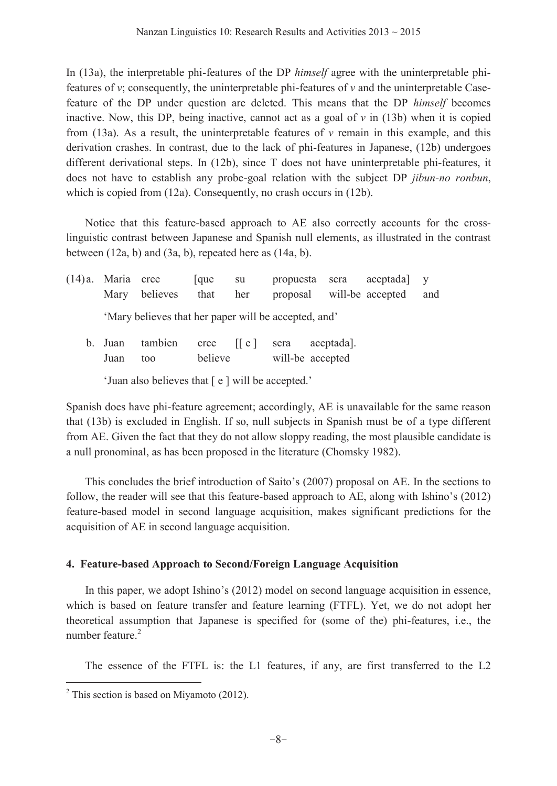In (13a), the interpretable phi-features of the DP *himself* agree with the uninterpretable phifeatures of  $v$ ; consequently, the uninterpretable phi-features of  $v$  and the uninterpretable Casefeature of the DP under question are deleted. This means that the DP *himself* becomes inactive. Now, this DP, being inactive, cannot act as a goal of  $\nu$  in (13b) when it is copied from  $(13a)$ . As a result, the uninterpretable features of  $\nu$  remain in this example, and this derivation crashes. In contrast, due to the lack of phi-features in Japanese, (12b) undergoes different derivational steps. In (12b), since T does not have uninterpretable phi-features, it does not have to establish any probe-goal relation with the subject DP *jibun-no ronbun*, which is copied from (12a). Consequently, no crash occurs in (12b).

Notice that this feature-based approach to AE also correctly accounts for the crosslinguistic contrast between Japanese and Spanish null elements, as illustrated in the contrast between (12a, b) and (3a, b), repeated here as (14a, b).

| $(14)a$ . Maria cree |                                                      | lque | su  | propuesta sera aceptada y |     |
|----------------------|------------------------------------------------------|------|-----|---------------------------|-----|
|                      | Mary believes that                                   |      | her | proposal will-be accepted | and |
|                      | 'Mary believes that her paper will be accepted, and' |      |     |                           |     |
| b. Juan              | tambien cree [[e] sera                               |      |     | aceptada.                 |     |

Juan too believe will-be accepted

'Juan also believes that  $[ e ]$  will be accepted.'

Spanish does have phi-feature agreement; accordingly, AE is unavailable for the same reason that (13b) is excluded in English. If so, null subjects in Spanish must be of a type different from AE. Given the fact that they do not allow sloppy reading, the most plausible candidate is a null pronominal, as has been proposed in the literature (Chomsky 1982).

This concludes the brief introduction of Saito's (2007) proposal on  $AE$ . In the sections to follow, the reader will see that this feature-based approach to  $AE$ , along with Ishino's (2012) feature-based model in second language acquisition, makes significant predictions for the acquisition of AE in second language acquisition.

# **4. Feature-based Approach to Second/Foreign Language Acquisition**

In this paper, we adopt Ishino's (2012) model on second language acquisition in essence, which is based on feature transfer and feature learning (FTFL). Yet, we do not adopt her theoretical assumption that Japanese is specified for (some of the) phi-features, i.e., the number feature.<sup>2</sup>

The essence of the FTFL is: the L1 features, if any, are first transferred to the L2

 $\overline{a}$ 

 $2$ <sup>2</sup> This section is based on Miyamoto (2012).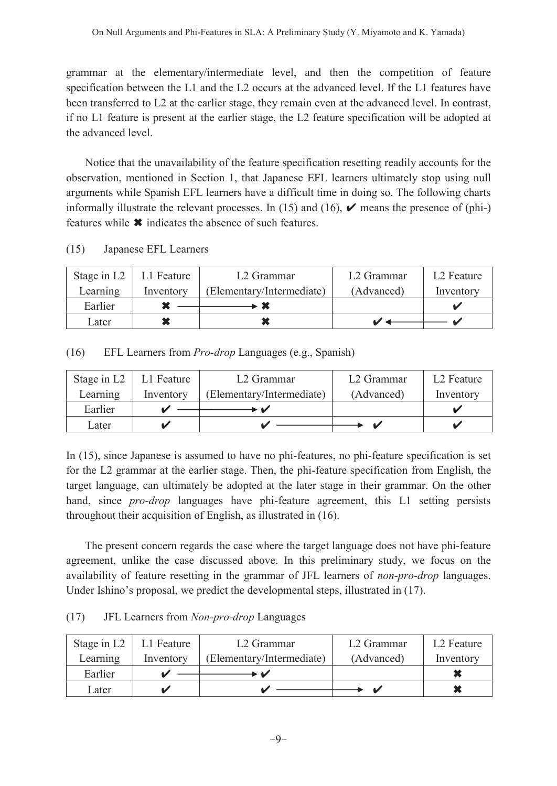grammar at the elementary/intermediate level, and then the competition of feature specification between the L1 and the L2 occurs at the advanced level. If the L1 features have been transferred to L2 at the earlier stage, they remain even at the advanced level. In contrast, if no L1 feature is present at the earlier stage, the L2 feature specification will be adopted at the advanced level.

Notice that the unavailability of the feature specification resetting readily accounts for the observation, mentioned in Section 1, that Japanese EFL learners ultimately stop using null arguments while Spanish EFL learners have a difficult time in doing so. The following charts informally illustrate the relevant processes. In (15) and (16),  $\vee$  means the presence of (phi-) features while  $\ast$  indicates the absence of such features.

| (15) | Japanese EFL Learners |
|------|-----------------------|
|------|-----------------------|

| Stage in $L2$ | Leature L | L <sub>2</sub> Grammar    | L <sub>2</sub> Grammar | L <sub>2</sub> Feature |
|---------------|-----------|---------------------------|------------------------|------------------------|
| Learning      | Inventory | (Elementary/Intermediate) | (Advanced)             | Inventory              |
| Earlier       |           |                           |                        |                        |
| Later         |           |                           |                        |                        |

(16) EFL Learners from *Pro-drop* Languages (e.g., Spanish)

| Stage in $L2$ | L1 Feature | L <sub>2</sub> Grammar    | L <sub>2</sub> Grammar | L <sub>2</sub> Feature |
|---------------|------------|---------------------------|------------------------|------------------------|
| Learning      | Inventory  | (Elementary/Intermediate) | (Advanced)             | Inventory              |
| Earlier       |            |                           |                        |                        |
| Later         |            |                           |                        |                        |

In (15), since Japanese is assumed to have no phi-features, no phi-feature specification is set for the L2 grammar at the earlier stage. Then, the phi-feature specification from English, the target language, can ultimately be adopted at the later stage in their grammar. On the other hand, since *pro-drop* languages have phi-feature agreement, this L1 setting persists throughout their acquisition of English, as illustrated in (16).

 The present concern regards the case where the target language does not have phi-feature agreement, unlike the case discussed above. In this preliminary study, we focus on the availability of feature resetting in the grammar of JFL learners of *non-pro-drop* languages. Under Ishino's proposal, we predict the developmental steps, illustrated in (17).

(17) JFL Learners from *Non-pro-drop* Languages

|          | Stage in $L2$   L1 Feature | L <sub>2</sub> Grammar    | L <sub>2</sub> Grammar | L <sub>2</sub> Feature |
|----------|----------------------------|---------------------------|------------------------|------------------------|
| Learning | Inventory                  | (Elementary/Intermediate) | (Advanced)             | Inventory              |
| Earlier  |                            |                           |                        |                        |
| Later    |                            |                           |                        |                        |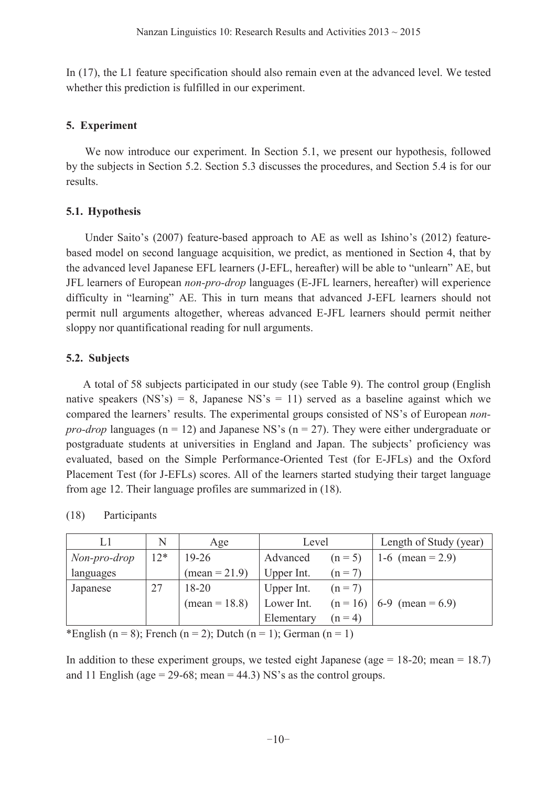In (17), the L1 feature specification should also remain even at the advanced level. We tested whether this prediction is fulfilled in our experiment.

## **5. Experiment**

 We now introduce our experiment. In Section 5.1, we present our hypothesis, followed by the subjects in Section 5.2. Section 5.3 discusses the procedures, and Section 5.4 is for our results.

# **5.1. Hypothesis**

Under Saito's  $(2007)$  feature-based approach to AE as well as Ishino's  $(2012)$  featurebased model on second language acquisition, we predict, as mentioned in Section 4, that by the advanced level Japanese EFL learners (J-EFL, hereafter) will be able to "unlearn" AE, but JFL learners of European *non-pro-drop* languages (E-JFL learners, hereafter) will experience difficulty in "learning" AE. This in turn means that advanced J-EFL learners should not permit null arguments altogether, whereas advanced E-JFL learners should permit neither sloppy nor quantificational reading for null arguments.

# **5.2. Subjects**

A total of 58 subjects participated in our study (see Table 9). The control group (English native speakers (NS's) = 8, Japanese NS's = 11) served as a baseline against which we compared the learners' results. The experimental groups consisted of NS's of European *nonpro-drop* languages ( $n = 12$ ) and Japanese NS's ( $n = 27$ ). They were either undergraduate or postgraduate students at universities in England and Japan. The subjects' proficiency was evaluated, based on the Simple Performance-Oriented Test (for E-JFLs) and the Oxford Placement Test (for J-EFLs) scores. All of the learners started studying their target language from age 12. Their language profiles are summarized in (18).

| Ll           | N     | Age           | Level      |           | Length of Study (year)        |
|--------------|-------|---------------|------------|-----------|-------------------------------|
| Non-pro-drop | $12*$ | $19 - 26$     | Advanced   | $(n = 5)$ | 1-6 (mean = $2.9$ )           |
| languages    |       | $mean = 21.9$ | Upper Int. | $(n = 7)$ |                               |
| Japanese     | 27    | $18 - 20$     | Upper Int. | $(n = 7)$ |                               |
|              |       | $mean = 18.8$ | Lower Int. |           | $(n = 16)$   6-9 (mean = 6.9) |
|              |       |               | Elementary | $(n = 4)$ |                               |

| (18) | Participants |
|------|--------------|
|------|--------------|

\*English (n = 8); French (n = 2); Dutch (n = 1); German (n = 1)

In addition to these experiment groups, we tested eight Japanese (age = 18-20; mean = 18.7) and 11 English (age =  $29-68$ ; mean =  $44.3$ ) NS's as the control groups.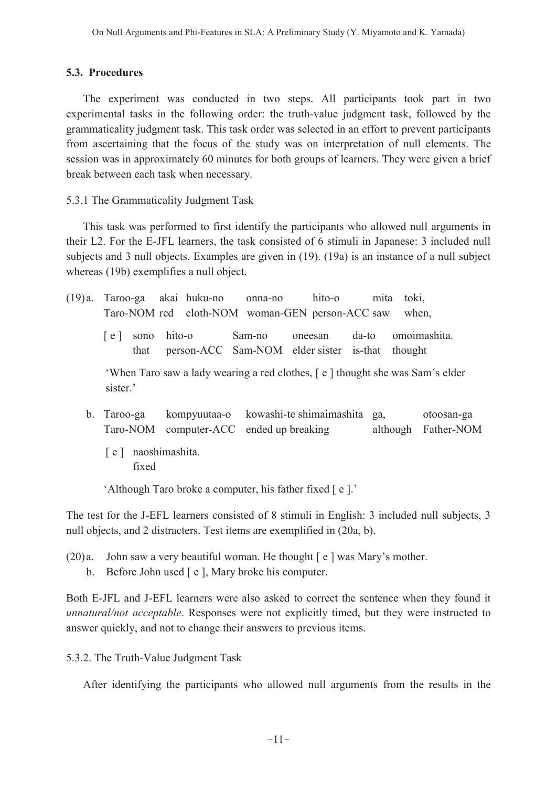#### **5.3. Procedures**

The experiment was conducted in two steps. All participants took part in two experimental tasks in the following order: the truth-value judgment task, followed by the grammaticality judgment task. This task order was selected in an effort to prevent participants from ascertaining that the focus of the study was on interpretation of null elements. The session was in approximately 60 minutes for both groups of learners. They were given a brief break between each task when necessary.

#### 5.3.1 The Grammaticality Judgment Task

This task was performed to first identify the participants who allowed null arguments in their L2. For the E-JFL learners, the task consisted of 6 stimuli in Japanese: 3 included null subjects and 3 null objects. Examples are given in (19). (19a) is an instance of a null subject whereas (19b) exemplifies a null object.

|                                                                                          | (19) a. Taroo-ga akai huku-no                   | onna-no | hito-o                                             | mita  | toki,                             |  |
|------------------------------------------------------------------------------------------|-------------------------------------------------|---------|----------------------------------------------------|-------|-----------------------------------|--|
|                                                                                          | Taro-NOM red cloth-NOM woman-GEN person-ACC saw |         |                                                    |       | when,                             |  |
| sono<br> e <br>that                                                                      | hito-o                                          | Sam-no  | oneesan<br>person-ACC Sam-NOM elder sister is-that | da-to | omoimashita.<br>thought           |  |
| 'When Taro saw a lady wearing a red clothes, [e] thought she was Sam's elder<br>sister.' |                                                 |         |                                                    |       |                                   |  |
| b. Taroo-ga<br>Taro-NOM                                                                  | computer-ACC ended up breaking                  |         | kompyuutaa-o kowashi-te shimaimashita              | ga,   | otoosan-ga<br>although Father-NOM |  |

[ e ] naoshimashita. fixed

Although Taro broke a computer, his father fixed [e].'

The test for the J-EFL learners consisted of 8 stimuli in English: 3 included null subjects, 3 null objects, and 2 distracters. Test items are exemplified in (20a, b).

- (20) a. John saw a very beautiful woman. He thought  $\lceil e \rceil$  was Mary's mother.
	- b. Before John used [e ], Mary broke his computer.

Both E-JFL and J-EFL learners were also asked to correct the sentence when they found it *unnatural/not acceptable*. Responses were not explicitly timed, but they were instructed to answer quickly, and not to change their answers to previous items.

5.3.2. The Truth-Value Judgment Task

After identifying the participants who allowed null arguments from the results in the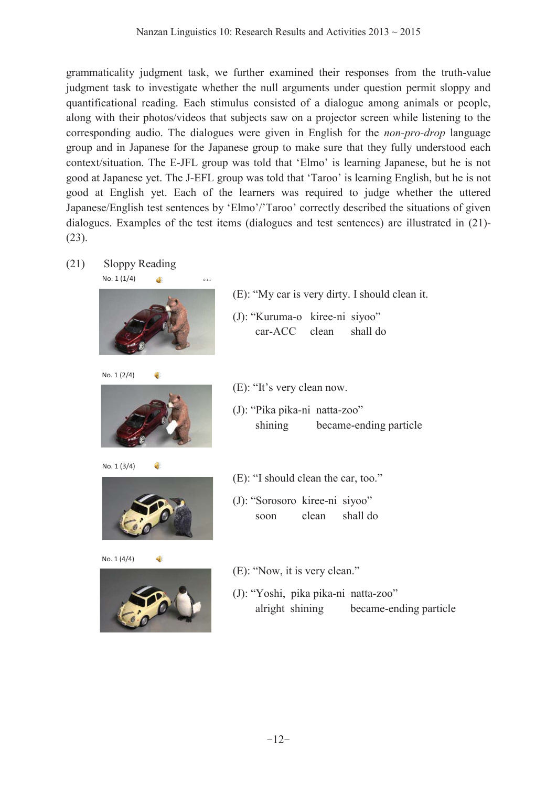grammaticality judgment task, we further examined their responses from the truth-value judgment task to investigate whether the null arguments under question permit sloppy and quantificational reading. Each stimulus consisted of a dialogue among animals or people, along with their photos/videos that subjects saw on a projector screen while listening to the corresponding audio. The dialogues were given in English for the *non-pro-drop* language group and in Japanese for the Japanese group to make sure that they fully understood each context/situation. The E-JFL group was told that 'Elmo' is learning Japanese, but he is not good at Japanese yet. The J-EFL group was told that 'Taroo' is learning English, but he is not good at English yet. Each of the learners was required to judge whether the uttered Japanese/English test sentences by 'Elmo'/'Taroo' correctly described the situations of given dialogues. Examples of the test items (dialogues and test sentences) are illustrated in (21)- (23).

(21) Sloppy Reading



No. 1 (2/4)







 $\bullet$ 

No. 1 (4/4)



- $(E)$ : "My car is very dirty. I should clean it.
- (J): "Kuruma-o kiree-ni siyoo" car-ACC clean shall do
- $(E)$ : "It's very clean now.
- (J): "Pika pika-ni natta-zoo" shining became-ending particle
- $(E)$ : "I should clean the car, too."
- (J): "Sorosoro kiree-ni siyoo" soon clean shall do
- $(E)$ : "Now, it is very clean."
- (J): "Yoshi, pika pika-ni natta-zoo" alright shining became-ending particle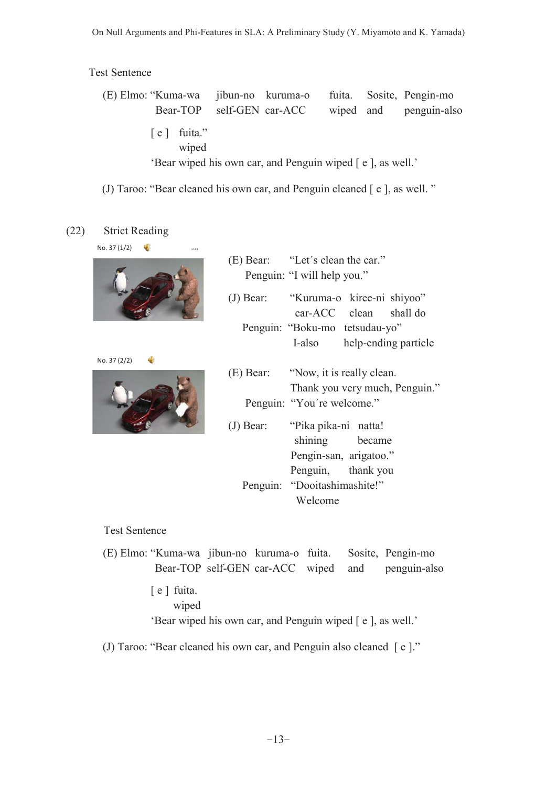Test Sentence

 (E) Elmo: ³Kuma-wa jibun-no kuruma-o fuita. Sosite, Pengin-mo Bear-TOP self-GEN car-ACC wiped and penguin-also [ e ] fuita." wiped 'Bear wiped his own car, and Penguin wiped [ e ], as well.'

(J) Taroo: "Bear cleaned his own car, and Penguin cleaned  $[e]$ , as well. "

# (22) Strict Reading







- $(E)$  Bear: "Let's clean the car." Penguin: "I will help you."
- (J) Bear: "Kuruma-o kiree-ni shiyoo" car-ACC clean shall do Penguin: "Boku-mo tetsudau-yo" I-also help-ending particle
- $(E)$  Bear:  $\gamma$  and  $\gamma$  it is really clean. Thank you very much, Penguin." Penguin: "You're welcome."
- (J) Bear: "Pika pika-ni natta! shining became Pengin-san, arigatoo." Penguin, thank you Penguin: "Dooitashimashite!" Welcome

Test Sentence

 (E) Elmo: ³Kuma-wa jibun-no kuruma-o fuita. Sosite, Pengin-mo Bear-TOP self-GEN car-ACC wiped and penguin-also [ e ] fuita. wiped 'Bear wiped his own car, and Penguin wiped [ e ], as well.'

(J) Taroo: "Bear cleaned his own car, and Penguin also cleaned  $\lceil e \rceil$ ."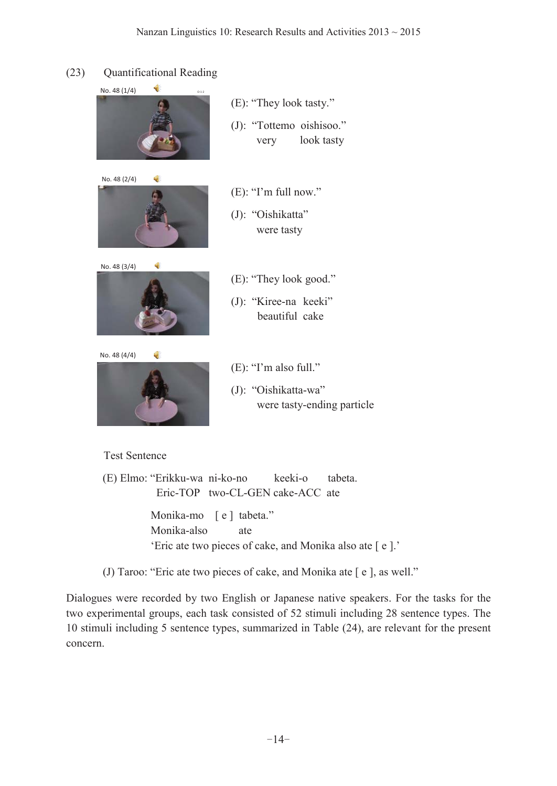# (23) Quantificational Reading





 $(E)$ : "They look tasty." (J): "Tottemo oishisoo." very look tasty

- $(E)$ : "I'm full now."
- (J): "Oishikatta" were tasty



No. 48 (4/4) 4



- $(E)$ : "They look good."
- (J): "Kiree-na keeki" beautiful cake
- $(E)$ : "I'm also full."
- $(J)$ : "Oishikatta-wa" were tasty-ending particle

### Test Sentence

(E) Elmo: "Erikku-wa ni-ko-no keeki-o tabeta. Eric-TOP two-CL-GEN cake-ACC ate

> Monika-mo [ e ] tabeta." Monika-also ate 'Eric ate two pieces of cake, and Monika also ate  $[ e ]$ .'

(J) Taroo: "Eric ate two pieces of cake, and Monika ate  $[e]$ , as well."

Dialogues were recorded by two English or Japanese native speakers. For the tasks for the two experimental groups, each task consisted of 52 stimuli including 28 sentence types. The 10 stimuli including 5 sentence types, summarized in Table (24), are relevant for the present concern.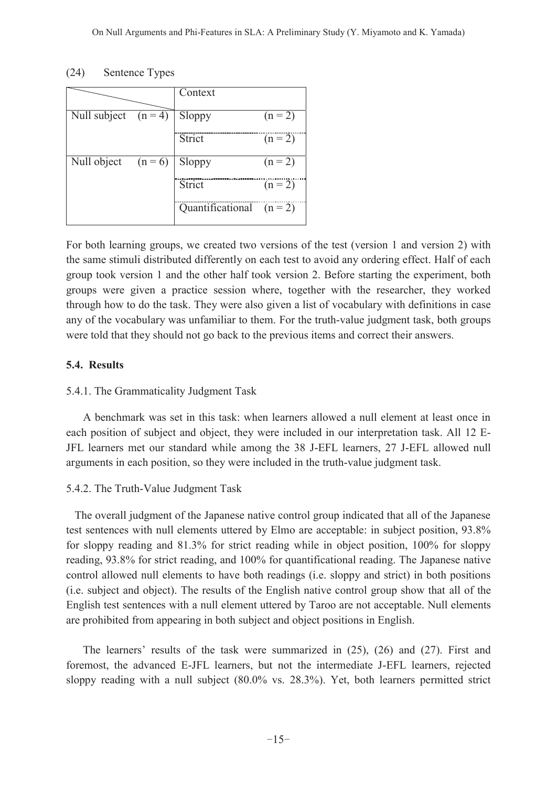### (24) Sentence Types

|                                 |           | Context                    |           |
|---------------------------------|-----------|----------------------------|-----------|
| Null subject $(n=4)$            |           | Sloppy                     | $(n = 2)$ |
|                                 |           |                            |           |
|                                 |           | Strict                     | $(n = 2)$ |
| $\overline{\text{Null}}$ object | $(n = 6)$ | Sloppy                     | $(n = 2)$ |
|                                 |           | Strict                     | $(n = 2)$ |
|                                 |           | Quantificational $(n = 2)$ |           |
|                                 |           |                            |           |

For both learning groups, we created two versions of the test (version 1 and version 2) with the same stimuli distributed differently on each test to avoid any ordering effect. Half of each group took version 1 and the other half took version 2. Before starting the experiment, both groups were given a practice session where, together with the researcher, they worked through how to do the task. They were also given a list of vocabulary with definitions in case any of the vocabulary was unfamiliar to them. For the truth-value judgment task, both groups were told that they should not go back to the previous items and correct their answers.

### **5.4. Results**

## 5.4.1. The Grammaticality Judgment Task

A benchmark was set in this task: when learners allowed a null element at least once in each position of subject and object, they were included in our interpretation task. All 12 E-JFL learners met our standard while among the 38 J-EFL learners, 27 J-EFL allowed null arguments in each position, so they were included in the truth-value judgment task.

### 5.4.2. The Truth-Value Judgment Task

 The overall judgment of the Japanese native control group indicated that all of the Japanese test sentences with null elements uttered by Elmo are acceptable: in subject position, 93.8% for sloppy reading and 81.3% for strict reading while in object position, 100% for sloppy reading, 93.8% for strict reading, and 100% for quantificational reading. The Japanese native control allowed null elements to have both readings (i.e. sloppy and strict) in both positions (i.e. subject and object). The results of the English native control group show that all of the English test sentences with a null element uttered by Taroo are not acceptable. Null elements are prohibited from appearing in both subject and object positions in English.

The learners' results of the task were summarized in  $(25)$ ,  $(26)$  and  $(27)$ . First and foremost, the advanced E-JFL learners, but not the intermediate J-EFL learners, rejected sloppy reading with a null subject (80.0% vs. 28.3%). Yet, both learners permitted strict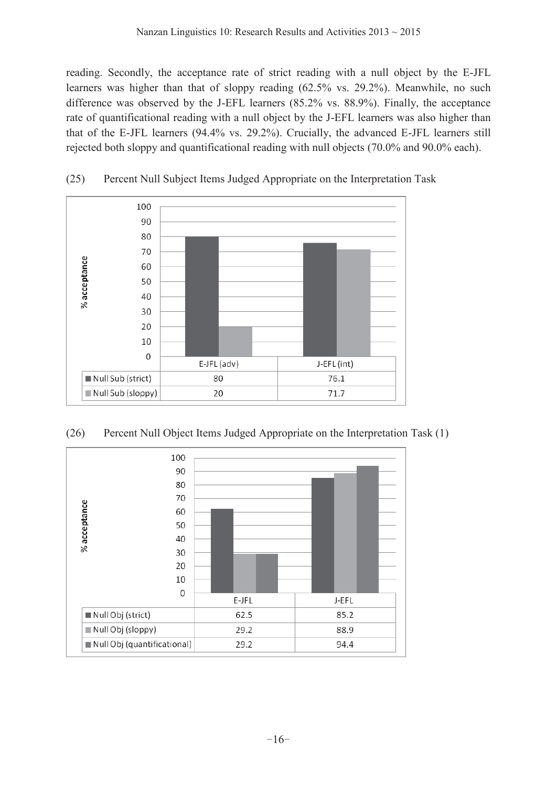reading. Secondly, the acceptance rate of strict reading with a null object by the E-JFL learners was higher than that of sloppy reading (62.5% vs. 29.2%). Meanwhile, no such difference was observed by the J-EFL learners (85.2% vs. 88.9%). Finally, the acceptance rate of quantificational reading with a null object by the J-EFL learners was also higher than that of the E-JFL learners (94.4% vs. 29.2%). Crucially, the advanced E-JFL learners still rejected both sloppy and quantificational reading with null objects (70.0% and 90.0% each).



(25) Percent Null Subject Items Judged Appropriate on the Interpretation Task



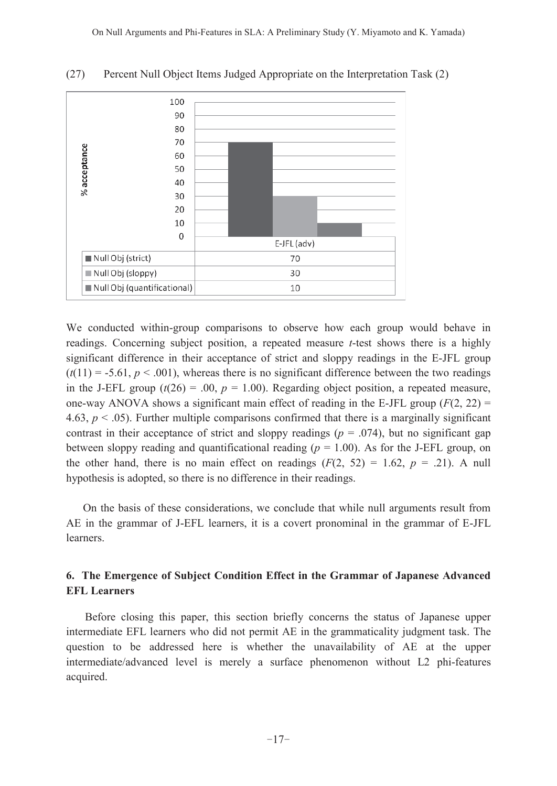

(27) Percent Null Object Items Judged Appropriate on the Interpretation Task (2)

We conducted within-group comparisons to observe how each group would behave in readings. Concerning subject position, a repeated measure *t*-test shows there is a highly significant difference in their acceptance of strict and sloppy readings in the E-JFL group  $(t(11) = -5.61, p < .001)$ , whereas there is no significant difference between the two readings in the J-EFL group  $(t(26) = .00, p = 1.00)$ . Regarding object position, a repeated measure, one-way ANOVA shows a significant main effect of reading in the E-JFL group  $(F(2, 22)$  = 4.63,  $p < .05$ ). Further multiple comparisons confirmed that there is a marginally significant contrast in their acceptance of strict and sloppy readings ( $p = .074$ ), but no significant gap between sloppy reading and quantificational reading ( $p = 1.00$ ). As for the J-EFL group, on the other hand, there is no main effect on readings  $(F(2, 52) = 1.62, p = .21)$ . A null hypothesis is adopted, so there is no difference in their readings.

On the basis of these considerations, we conclude that while null arguments result from AE in the grammar of J-EFL learners, it is a covert pronominal in the grammar of E-JFL learners.

## **6. The Emergence of Subject Condition Effect in the Grammar of Japanese Advanced EFL Learners**

 Before closing this paper, this section briefly concerns the status of Japanese upper intermediate EFL learners who did not permit AE in the grammaticality judgment task. The question to be addressed here is whether the unavailability of AE at the upper intermediate/advanced level is merely a surface phenomenon without L2 phi-features acquired.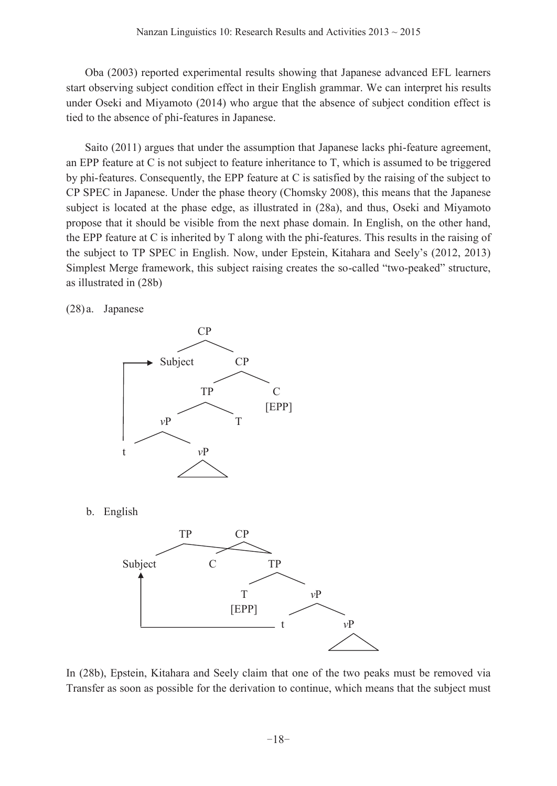Oba (2003) reported experimental results showing that Japanese advanced EFL learners start observing subject condition effect in their English grammar. We can interpret his results under Oseki and Miyamoto (2014) who argue that the absence of subject condition effect is tied to the absence of phi-features in Japanese.

Saito (2011) argues that under the assumption that Japanese lacks phi-feature agreement, an EPP feature at C is not subject to feature inheritance to T, which is assumed to be triggered by phi-features. Consequently, the EPP feature at C is satisfied by the raising of the subject to CP SPEC in Japanese. Under the phase theory (Chomsky 2008), this means that the Japanese subject is located at the phase edge, as illustrated in (28a), and thus, Oseki and Miyamoto propose that it should be visible from the next phase domain. In English, on the other hand, the EPP feature at C is inherited by T along with the phi-features. This results in the raising of the subject to TP SPEC in English. Now, under Epstein, Kitahara and Seely's (2012, 2013) Simplest Merge framework, this subject raising creates the so-called "two-peaked" structure, as illustrated in (28b)

(28) a. Japanese



In (28b), Epstein, Kitahara and Seely claim that one of the two peaks must be removed via Transfer as soon as possible for the derivation to continue, which means that the subject must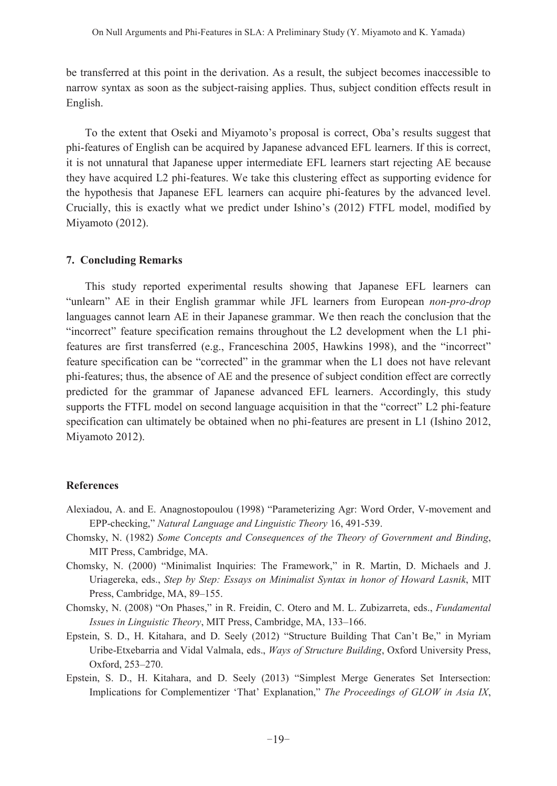be transferred at this point in the derivation. As a result, the subject becomes inaccessible to narrow syntax as soon as the subject-raising applies. Thus, subject condition effects result in English.

To the extent that Oseki and Miyamoto's proposal is correct, Oba's results suggest that phi-features of English can be acquired by Japanese advanced EFL learners. If this is correct, it is not unnatural that Japanese upper intermediate EFL learners start rejecting AE because they have acquired L2 phi-features. We take this clustering effect as supporting evidence for the hypothesis that Japanese EFL learners can acquire phi-features by the advanced level. Crucially, this is exactly what we predict under Ishino's (2012) FTFL model, modified by Miyamoto (2012).

### **7. Concluding Remarks**

 This study reported experimental results showing that Japanese EFL learners can "unlearn" AE in their English grammar while JFL learners from European *non-pro-drop* languages cannot learn AE in their Japanese grammar. We then reach the conclusion that the ³incorrect´ feature specification remains throughout the L2 development when the L1 phifeatures are first transferred (e.g., Franceschina 2005, Hawkins 1998), and the "incorrect" feature specification can be "corrected" in the grammar when the L1 does not have relevant phi-features; thus, the absence of AE and the presence of subject condition effect are correctly predicted for the grammar of Japanese advanced EFL learners. Accordingly, this study supports the FTFL model on second language acquisition in that the "correct" L2 phi-feature specification can ultimately be obtained when no phi-features are present in L1 (Ishino 2012, Miyamoto 2012).

# **References**

- Alexiadou, A. and E. Anagnostopoulou (1998) "Parameterizing Agr: Word Order, V-movement and EPP-checking," *Natural Language and Linguistic Theory* 16, 491-539.
- Chomsky, N. (1982) *Some Concepts and Consequences of the Theory of Government and Binding*, MIT Press, Cambridge, MA.
- Chomsky, N. (2000) "Minimalist Inquiries: The Framework," in R. Martin, D. Michaels and J. Uriagereka, eds., *Step by Step: Essays on Minimalist Syntax in honor of Howard Lasnik*, MIT Press, Cambridge, MA, 89-155.
- Chomsky, N. (2008) "On Phases," in R. Freidin, C. Otero and M. L. Zubizarreta, eds., *Fundamental Issues in Linguistic Theory*, MIT Press, Cambridge, MA, 133-166.
- Epstein, S. D., H. Kitahara, and D. Seely (2012) "Structure Building That Can't Be," in Myriam Uribe-Etxebarria and Vidal Valmala, eds., *Ways of Structure Building*, Oxford University Press, Oxford, 253-270.
- Epstein, S. D., H. Kitahara, and D. Seely (2013) "Simplest Merge Generates Set Intersection: Implications for Complementizer 'That' Explanation," *The Proceedings of GLOW in Asia IX*,